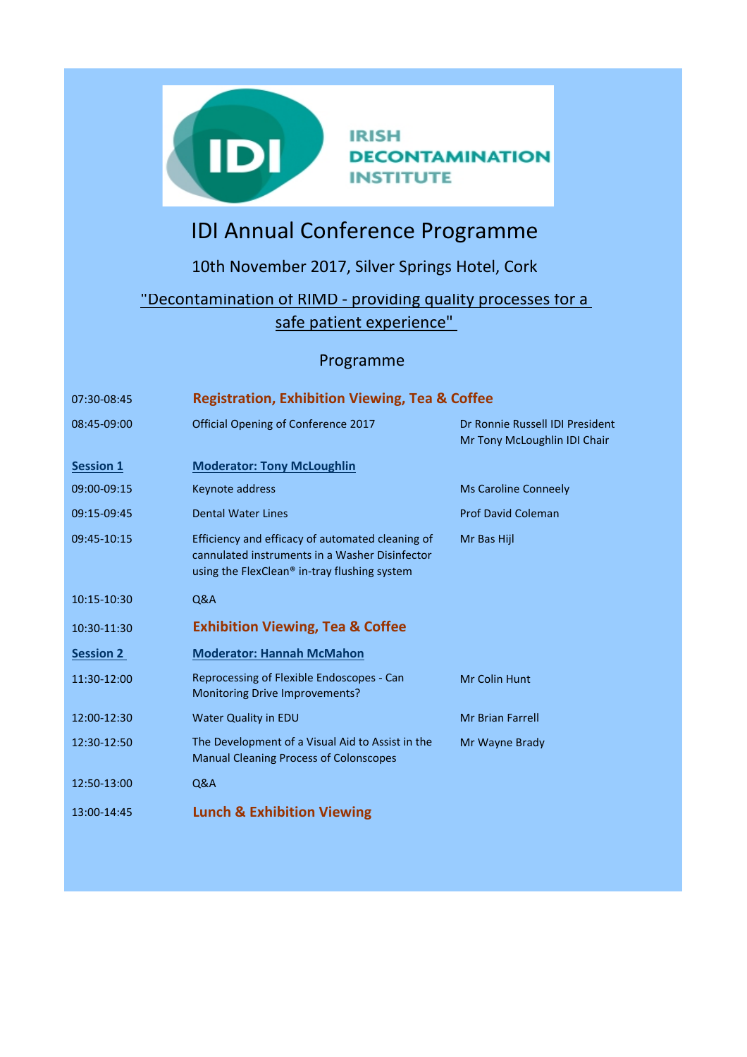

## **IRISH DECONTAMINATION INSTITUTE**

## IDI Annual Conference Programme

10th November 2017, Silver Springs Hotel, Cork

## "Decontamination of RIMD - providing quality processes for a safe patient experience"

## Programme

| 07:30-08:45      | <b>Registration, Exhibition Viewing, Tea &amp; Coffee</b>                                                                                          |                                                                 |
|------------------|----------------------------------------------------------------------------------------------------------------------------------------------------|-----------------------------------------------------------------|
| 08:45-09:00      | Official Opening of Conference 2017                                                                                                                | Dr Ronnie Russell IDI President<br>Mr Tony McLoughlin IDI Chair |
| <b>Session 1</b> | <b>Moderator: Tony McLoughlin</b>                                                                                                                  |                                                                 |
| 09:00-09:15      | Keynote address                                                                                                                                    | <b>Ms Caroline Conneely</b>                                     |
| 09:15-09:45      | <b>Dental Water Lines</b>                                                                                                                          | <b>Prof David Coleman</b>                                       |
| 09:45-10:15      | Efficiency and efficacy of automated cleaning of<br>cannulated instruments in a Washer Disinfector<br>using the FlexClean® in-tray flushing system | Mr Bas Hijl                                                     |
| 10:15-10:30      | Q&A                                                                                                                                                |                                                                 |
| 10:30-11:30      | <b>Exhibition Viewing, Tea &amp; Coffee</b>                                                                                                        |                                                                 |
| <b>Session 2</b> | <b>Moderator: Hannah McMahon</b>                                                                                                                   |                                                                 |
| 11:30-12:00      | Reprocessing of Flexible Endoscopes - Can<br><b>Monitoring Drive Improvements?</b>                                                                 | Mr Colin Hunt                                                   |
| 12:00-12:30      | <b>Water Quality in EDU</b>                                                                                                                        | <b>Mr Brian Farrell</b>                                         |
| 12:30-12:50      | The Development of a Visual Aid to Assist in the<br><b>Manual Cleaning Process of Colonscopes</b>                                                  | Mr Wayne Brady                                                  |
| 12:50-13:00      | Q&A                                                                                                                                                |                                                                 |
| 13:00-14:45      | <b>Lunch &amp; Exhibition Viewing</b>                                                                                                              |                                                                 |